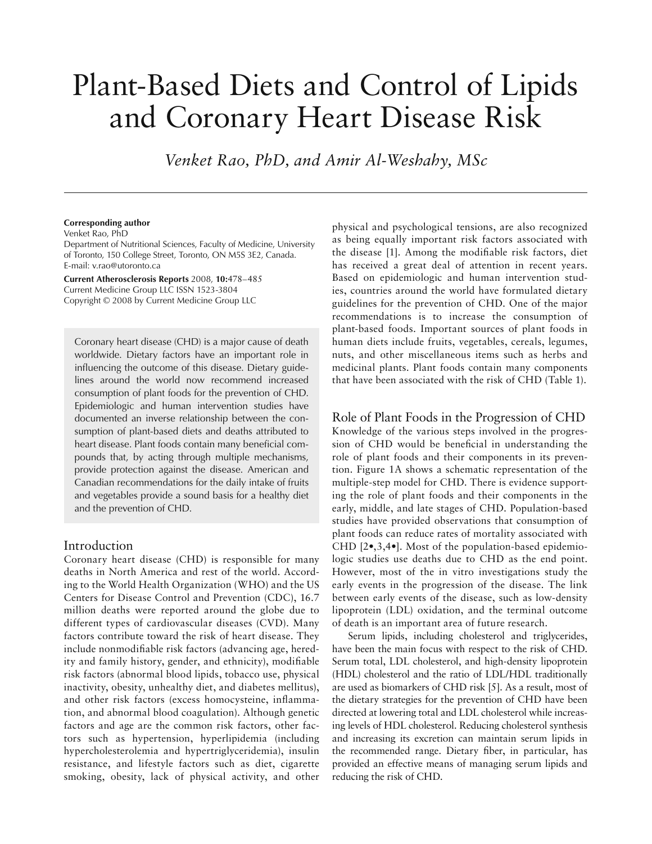# Plant-Based Diets and Control of Lipids and Coronary Heart Disease Risk

*Venket Rao, PhD, and Amir Al-Weshahy, MSc*

#### **Corresponding author**

Venket Rao, PhD Department of Nutritional Sciences, Faculty of Medicine, University of Toronto, 150 College Street, Toronto, ON M5S 3E2, Canada.

E-mail: v.rao@utoronto.ca **Current Atherosclerosis Reports** 2008, **10:**478–485 Current Medicine Group LLC ISSN 1523-3804 Copyright © 2008 by Current Medicine Group LLC

Coronary heart disease (CHD) is a major cause of death worldwide. Dietary factors have an important role in influencing the outcome of this disease. Dietary guidelines around the world now recommend increased consumption of plant foods for the prevention of CHD. Epidemiologic and human intervention studies have documented an inverse relationship between the consumption of plant-based diets and deaths attributed to heart disease. Plant foods contain many beneficial compounds that, by acting through multiple mechanisms, provide protection against the disease. American and Canadian recommendations for the daily intake of fruits and vegetables provide a sound basis for a healthy diet and the prevention of CHD.

## Introduction

Coronary heart disease (CHD) is responsible for many deaths in North America and rest of the world. According to the World Health Organization (WHO) and the US Centers for Disease Control and Prevention (CDC), 16.7 million deaths were reported around the globe due to different types of cardiovascular diseases (CVD). Many factors contribute toward the risk of heart disease. They include nonmodifiable risk factors (advancing age, heredity and family history, gender, and ethnicity), modifiable risk factors (abnormal blood lipids, tobacco use, physical inactivity, obesity, unhealthy diet, and diabetes mellitus), and other risk factors (excess homocysteine, inflammation, and abnormal blood coagulation). Although genetic factors and age are the common risk factors, other factors such as hypertension, hyperlipidemia (including hypercholesterolemia and hypertriglyceridemia), insulin resistance, and lifestyle factors such as diet, cigarette smoking, obesity, lack of physical activity, and other

physical and psychological tensions, are also recognized as being equally important risk factors associated with the disease [1]. Among the modifiable risk factors, diet has received a great deal of attention in recent years. Based on epidemiologic and human intervention studies, countries around the world have formulated dietary guidelines for the prevention of CHD. One of the major recommendations is to increase the consumption of plant-based foods. Important sources of plant foods in human diets include fruits, vegetables, cereals, legumes, nuts, and other miscellaneous items such as herbs and medicinal plants. Plant foods contain many components that have been associated with the risk of CHD (Table 1).

## Role of Plant Foods in the Progression of CHD

Knowledge of the various steps involved in the progression of CHD would be beneficial in understanding the role of plant foods and their components in its prevention. Figure 1A shows a schematic representation of the multiple-step model for CHD. There is evidence supporting the role of plant foods and their components in the early, middle, and late stages of CHD. Population-based studies have provided observations that consumption of plant foods can reduce rates of mortality associated with CHD [2•,3,4•]. Most of the population-based epidemiologic studies use deaths due to CHD as the end point. However, most of the in vitro investigations study the early events in the progression of the disease. The link between early events of the disease, such as low-density lipoprotein (LDL) oxidation, and the terminal outcome of death is an important area of future research.

Serum lipids, including cholesterol and triglycerides, have been the main focus with respect to the risk of CHD. Serum total, LDL cholesterol, and high-density lipoprotein (HDL) cholesterol and the ratio of LDL/HDL traditionally are used as biomarkers of CHD risk [5]. As a result, most of the dietary strategies for the prevention of CHD have been directed at lowering total and LDL cholesterol while increasing levels of HDL cholesterol. Reducing cholesterol synthesis and increasing its excretion can maintain serum lipids in the recommended range. Dietary fiber, in particular, has provided an effective means of managing serum lipids and reducing the risk of CHD.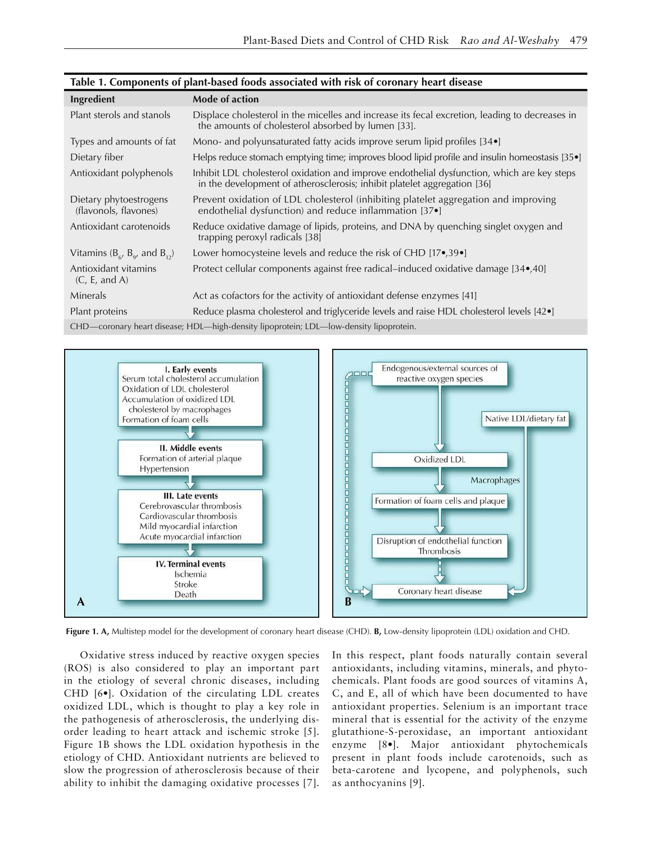| Ingredient                                      | Mode of action                                                                                                                                                         |
|-------------------------------------------------|------------------------------------------------------------------------------------------------------------------------------------------------------------------------|
| Plant sterols and stanols                       | Displace cholesterol in the micelles and increase its fecal excretion, leading to decreases in<br>the amounts of cholesterol absorbed by lumen [33].                   |
| Types and amounts of fat                        | Mono- and polyunsaturated fatty acids improve serum lipid profiles [34•]                                                                                               |
| Dietary fiber                                   | Helps reduce stomach emptying time; improves blood lipid profile and insulin homeostasis [35 $\bullet$ ]                                                               |
| Antioxidant polyphenols                         | Inhibit LDL cholesterol oxidation and improve endothelial dysfunction, which are key steps<br>in the development of atherosclerosis; inhibit platelet aggregation [36] |
| Dietary phytoestrogens<br>(flavonols, flavones) | Prevent oxidation of LDL cholesterol (inhibiting platelet aggregation and improving<br>endothelial dysfunction) and reduce inflammation [37•]                          |
| Antioxidant carotenoids                         | Reduce oxidative damage of lipids, proteins, and DNA by quenching singlet oxygen and<br>trapping peroxyl radicals [38]                                                 |
| Vitamins ( $B_{6}$ , $B_{9}$ , and $B_{12}$ )   | Lower homocysteine levels and reduce the risk of CHD [17•,39•]                                                                                                         |
| Antioxidant vitamins<br>(C, E, and A)           | Protect cellular components against free radical-induced oxidative damage [34•,40]                                                                                     |
| Minerals                                        | Act as cofactors for the activity of antioxidant defense enzymes [41]                                                                                                  |
| Plant proteins                                  | Reduce plasma cholesterol and triglyceride levels and raise HDL cholesterol levels [42 $\bullet$ ]                                                                     |
|                                                 | CHD-coronary heart disease; HDL-high-density lipoprotein; LDL-low-density lipoprotein.                                                                                 |





**Figure 1. A,** Multistep model for the development of coronary heart disease (CHD). **B,** Low-density lipoprotein (LDL) oxidation and CHD.

Oxidative stress induced by reactive oxygen species (ROS) is also considered to play an important part in the etiology of several chronic diseases, including CHD [6•]. Oxidation of the circulating LDL creates oxidized LDL, which is thought to play a key role in the pathogenesis of atherosclerosis, the underlying disorder leading to heart attack and ischemic stroke [5]. Figure 1B shows the LDL oxidation hypothesis in the etiology of CHD. Antioxidant nutrients are believed to slow the progression of atherosclerosis because of their ability to inhibit the damaging oxidative processes [7].

In this respect, plant foods naturally contain several antioxidants, including vitamins, minerals, and phytochemicals. Plant foods are good sources of vitamins A, C, and E, all of which have been documented to have antioxidant properties. Selenium is an important trace mineral that is essential for the activity of the enzyme glutathione-S-peroxidase, an important antioxidant enzyme [8•]. Major antioxidant phytochemicals present in plant foods include carotenoids, such as beta-carotene and lycopene, and polyphenols, such as anthocyanins [9].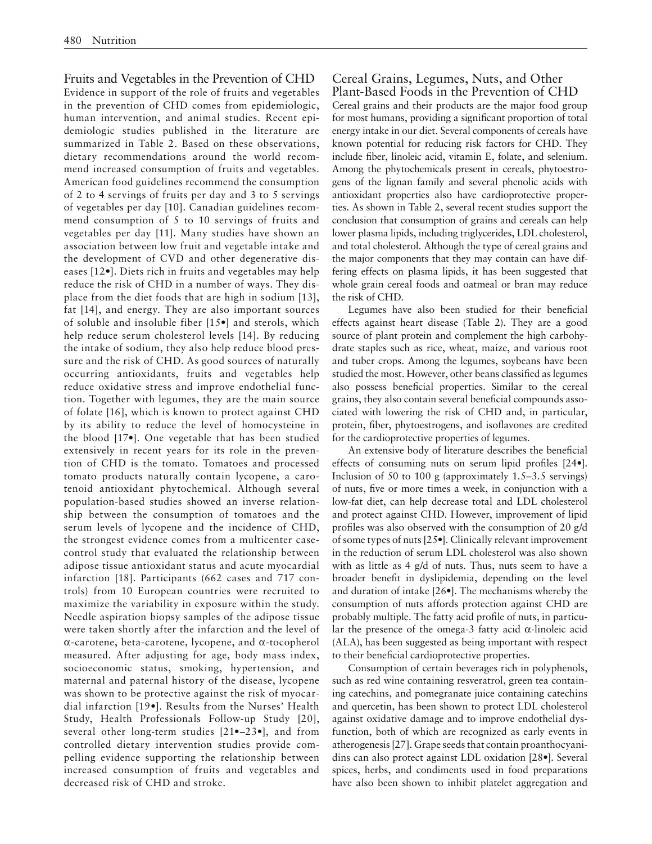Fruits and Vegetables in the Prevention of CHD Evidence in support of the role of fruits and vegetables in the prevention of CHD comes from epidemiologic, human intervention, and animal studies. Recent epidemiologic studies published in the literature are summarized in Table 2. Based on these observations, dietary recommendations around the world recommend increased consumption of fruits and vegetables. American food guidelines recommend the consumption of 2 to 4 servings of fruits per day and 3 to 5 servings of vegetables per day [10]. Canadian guidelines recommend consumption of 5 to 10 servings of fruits and vegetables per day [11]. Many studies have shown an association between low fruit and vegetable intake and the development of CVD and other degenerative diseases [12•]. Diets rich in fruits and vegetables may help reduce the risk of CHD in a number of ways. They displace from the diet foods that are high in sodium [13], fat [14], and energy. They are also important sources of soluble and insoluble fiber [15•] and sterols, which help reduce serum cholesterol levels [14]. By reducing the intake of sodium, they also help reduce blood pressure and the risk of CHD. As good sources of naturally occurring antioxidants, fruits and vegetables help reduce oxidative stress and improve endothelial function. Together with legumes, they are the main source of folate [16], which is known to protect against CHD by its ability to reduce the level of homocysteine in the blood [17•]. One vegetable that has been studied extensively in recent years for its role in the prevention of CHD is the tomato. Tomatoes and processed tomato products naturally contain lycopene, a carotenoid antioxidant phytochemical. Although several population-based studies showed an inverse relationship between the consumption of tomatoes and the serum levels of lycopene and the incidence of CHD, the strongest evidence comes from a multicenter casecontrol study that evaluated the relationship between adipose tissue antioxidant status and acute myocardial infarction [18]. Participants (662 cases and 717 controls) from 10 European countries were recruited to maximize the variability in exposure within the study. Needle aspiration biopsy samples of the adipose tissue were taken shortly after the infarction and the level of α-carotene, beta-carotene, lycopene, and α-tocopherol measured. After adjusting for age, body mass index, socioeconomic status, smoking, hypertension, and maternal and paternal history of the disease, lycopene was shown to be protective against the risk of myocardial infarction [19•]. Results from the Nurses' Health Study, Health Professionals Follow-up Study [20], several other long-term studies [21•–23•], and from controlled dietary intervention studies provide compelling evidence supporting the relationship between increased consumption of fruits and vegetables and decreased risk of CHD and stroke.

# Cereal Grains, Legumes, Nuts, and Other Plant-Based Foods in the Prevention of CHD

Cereal grains and their products are the major food group for most humans, providing a significant proportion of total energy intake in our diet. Several components of cereals have known potential for reducing risk factors for CHD. They include fiber, linoleic acid, vitamin E, folate, and selenium. Among the phytochemicals present in cereals, phytoestrogens of the lignan family and several phenolic acids with antioxidant properties also have cardioprotective properties. As shown in Table 2, several recent studies support the conclusion that consumption of grains and cereals can help lower plasma lipids, including triglycerides, LDL cholesterol, and total cholesterol. Although the type of cereal grains and the major components that they may contain can have differing effects on plasma lipids, it has been suggested that whole grain cereal foods and oatmeal or bran may reduce the risk of CHD.

Legumes have also been studied for their beneficial effects against heart disease (Table 2). They are a good source of plant protein and complement the high carbohydrate staples such as rice, wheat, maize, and various root and tuber crops. Among the legumes, soybeans have been studied the most. However, other beans classified as legumes also possess beneficial properties. Similar to the cereal grains, they also contain several beneficial compounds associated with lowering the risk of CHD and, in particular, protein, fiber, phytoestrogens, and isoflavones are credited for the cardioprotective properties of legumes.

An extensive body of literature describes the beneficial effects of consuming nuts on serum lipid profiles  $[24 \bullet]$ . Inclusion of 50 to 100 g (approximately 1.5–3.5 servings) of nuts, five or more times a week, in conjunction with a low-fat diet, can help decrease total and LDL cholesterol and protect against CHD. However, improvement of lipid profiles was also observed with the consumption of 20 g/d of some types of nuts [25•]. Clinically relevant improvement in the reduction of serum LDL cholesterol was also shown with as little as 4 g/d of nuts. Thus, nuts seem to have a broader benefit in dyslipidemia, depending on the level and duration of intake [26•]. The mechanisms whereby the consumption of nuts affords protection against CHD are probably multiple. The fatty acid profile of nuts, in particular the presence of the omega-3 fatty acid α-linoleic acid (ALA), has been suggested as being important with respect to their beneficial cardioprotective properties.

Consumption of certain beverages rich in polyphenols, such as red wine containing resveratrol, green tea containing catechins, and pomegranate juice containing catechins and quercetin, has been shown to protect LDL cholesterol against oxidative damage and to improve endothelial dysfunction, both of which are recognized as early events in atherogenesis [27]. Grape seeds that contain proanthocyanidins can also protect against LDL oxidation [28•]. Several spices, herbs, and condiments used in food preparations have also been shown to inhibit platelet aggregation and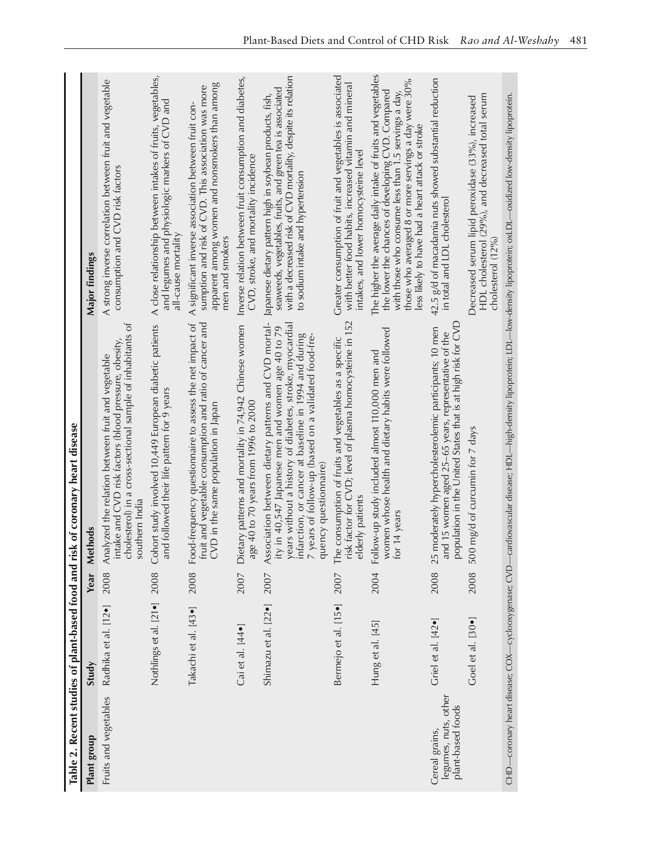|                                                             | Table 2. Recent studies of plant-based food and risk |      | of coronary heart disease                                                                                                                                                                                                                                                                                     |                                                                                                                                                                                                                                                                                          |
|-------------------------------------------------------------|------------------------------------------------------|------|---------------------------------------------------------------------------------------------------------------------------------------------------------------------------------------------------------------------------------------------------------------------------------------------------------------|------------------------------------------------------------------------------------------------------------------------------------------------------------------------------------------------------------------------------------------------------------------------------------------|
| Plant group                                                 | Study                                                | Year | <b>Methods</b>                                                                                                                                                                                                                                                                                                | Major findings                                                                                                                                                                                                                                                                           |
| Fruits and vegetables                                       | Radhika et al. [12•]                                 |      | cholesterol) in a cross-sectional sample of inhabitants of<br>intake and CVD risk factors (blood pressure, obesity,<br>2008 Analyzed the relation between fruit and vegetable<br>southern India                                                                                                               | A strong inverse correlation between fruit and vegetable<br>consumption and CVD risk factors                                                                                                                                                                                             |
|                                                             | Nothlings et al. [21•]                               | 2008 | Cohort study involved 10,449 European diabetic patients<br>and followed their life pattern for 9 years                                                                                                                                                                                                        | A close relationship between intakes of fruits, vegetables,<br>and legumes and physiologic markers of CVD and<br>all-cause mortality                                                                                                                                                     |
|                                                             | Takachi et al. [43•]                                 | 2008 | fruit and vegetable consumption and ratio of cancer and<br>Food-frequency questionnaire to assess the net impact of<br>CVD in the same population in Japan                                                                                                                                                    | apparent among women and nonsmokers than among<br>sumption and risk of CVD. This association was more<br>significant inverse association between fruit con-<br>men and smokers<br>$\prec$                                                                                                |
|                                                             | Cai et al. [44•]                                     | 2007 | Dietary patterns and mortality in 74,942 Chinese women<br>40 to 70 years from 1996 to 2000<br>age                                                                                                                                                                                                             | Inverse relation between fruit consumption and diabetes,<br>CVD, stroke, and mortality incidence                                                                                                                                                                                         |
|                                                             | Shimazu et al. [22•]                                 | 2007 | Association between dietary patterns and CVD mortal-<br>years without a history of diabetes, stroke, myocardial<br>ity in 40,547 Japanese men and women age 40 to 79<br>infarction, or cancer at baseline in 1994 and during<br>7 years of follow-up (based on a validated food-fre-<br>quency questionnaire) | with a decreased risk of CVD mortality, despite its relation<br>seaweeds, vegetables, fruits, and green tea is associated<br>Japanese dietary pattern high in soybean products, fish,<br>to sodium intake and hypertension                                                               |
|                                                             | Bermejo et al. [15•]                                 | 2007 | risk factor for CVD; level of plasma homocysteine in 152<br>The consumption of fruits and vegetables as a specific<br>elderly patients                                                                                                                                                                        | Greater consumption of fruit and vegetables is associated<br>with better food habits, increased vitamin and mineral<br>intakes, and lower homocysteine leve                                                                                                                              |
|                                                             | Hung et al. [45]                                     | 2004 | women whose health and dietary habits were followed<br>Follow-up study included almost 110,000 men and<br>for 14 years                                                                                                                                                                                        | The higher the average daily intake of fruits and vegetables<br>those who averaged 8 or more servings a day were $30\%$<br>the lower the chances of developing CVD. Compared<br>with those who consume less than 1.5 servings a day,<br>less likely to have had a heart attack or stroke |
| legumes, nuts, other<br>plant-based foods<br>Cereal grains, | Criel et al. [42•]                                   | 2008 | population in the United States that is at high risk for CVD<br>25 moderately hypercholesterolemic participants; 10 men<br>and 15 women aged 25-65 years, representative of the                                                                                                                               | 42.5 g/d of macadamia nuts showed substantial reduction<br>in total and LDL cholestero                                                                                                                                                                                                   |
|                                                             | Coel et al. [30•]                                    | 2008 | 500 mg/d of curcumin for 7 days                                                                                                                                                                                                                                                                               | HDL cholesterol (29%), and decreased total serum<br>Decreased serum lipid peroxidase (33%), increased<br>cholesterol (12%)                                                                                                                                                               |
|                                                             |                                                      |      | CHD—coronary heart disease; COX—cyclooxygenase; CVD—cardiovascular disease; HDL—high-density lipoprotein; LDL—low-density lipoprotein; DL—oxidized low-density lipoprotein.                                                                                                                                   |                                                                                                                                                                                                                                                                                          |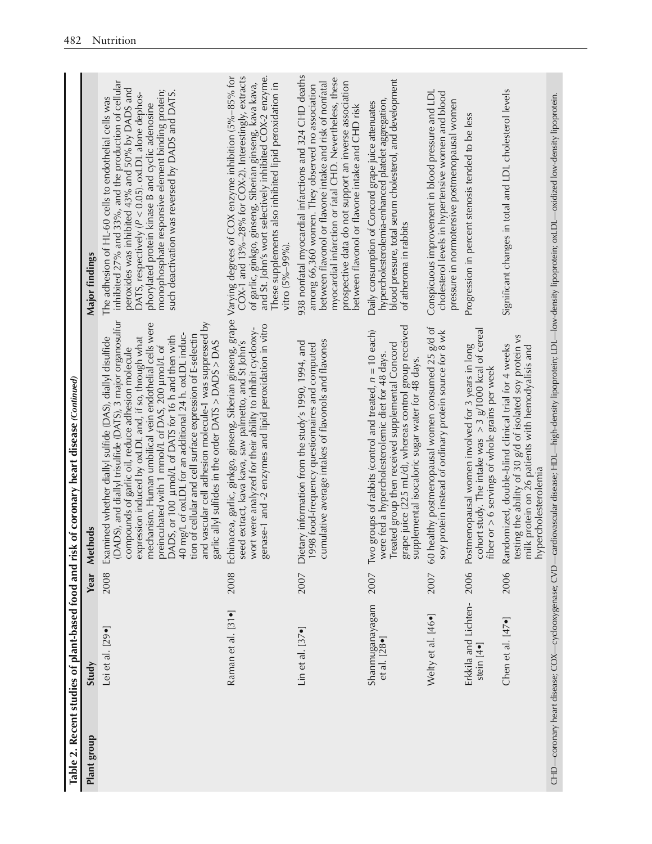|             |                                    |      | Table 2. Recent studies of plant-based food and risk of coronary heart disease (Continued)                                                                                                                                                                                                                                                                                                                                                                                                                                                                                                                                                          |                                                                                                                                                                                                                                                                                                                                                                                         |
|-------------|------------------------------------|------|-----------------------------------------------------------------------------------------------------------------------------------------------------------------------------------------------------------------------------------------------------------------------------------------------------------------------------------------------------------------------------------------------------------------------------------------------------------------------------------------------------------------------------------------------------------------------------------------------------------------------------------------------------|-----------------------------------------------------------------------------------------------------------------------------------------------------------------------------------------------------------------------------------------------------------------------------------------------------------------------------------------------------------------------------------------|
| Plant group | Study                              | Year | Methods                                                                                                                                                                                                                                                                                                                                                                                                                                                                                                                                                                                                                                             | Major findings                                                                                                                                                                                                                                                                                                                                                                          |
|             | Lei et al. [29•]                   | 2008 | (DADS), and diallyl trisulfide (DATS), 3 major organosulfur<br>and vascular cell adhesion molecule-1 was suppressed by<br>mechanism. Human umbilical vein endothelial cells were<br>40 mg/L of oxLDL for an additional 24 h. oxLDL induc-<br>tion of cellular and cell surface expression of E-selectin<br>preincubated with 1 mmol/L of DAS, 200 µmol/L of<br>DADS, or 100 µmol/L of DATS for 16 h and then with<br>expression induced by oxLDL and, if so, through what<br>Examined whether diallyl sulfide (DAS), diallyl disulfide<br>garlic allyl sulfides in the order DATS > DADS > DAS<br>compounds of garlic oil, reduce adhesion molecule | inhibited 27% and 33%, and the production of cellular<br>peroxides was inhibited 43% and 50% by DADS and<br>monophosphate responsive element binding protein;<br>such deactivation was reversed by DADS and DATS.<br>DATS, respectively ( $P < 0.05$ ). oxLDL alone dephos-<br>The adhesion of HL-60 cells to endothelial cells was<br>phorylated protein kinase B and cyclic adenosine |
|             | Raman et al. [31•]                 | 2008 | Echinacea, garlic, ginkgo, ginseng, Siberian ginseng, grape<br>genase-1 and -2 enzymes and lipid peroxidation in vitro<br>wort were analyzed for their ability to inhibit cyclooxy-<br>seed extract, kava kava, saw palmetto, and St John's                                                                                                                                                                                                                                                                                                                                                                                                         | COX-1 and 13%-28% for COX-2). Interestingly, extracts<br>Varying degrees of COX enzyme inhibition (5%-85% for<br>and St. John's wort selectively inhibited COX-2 enzyme.<br>of garlic, ginkgo, ginseng, Siberian ginseng, kava kava,<br>These supplements also inhibited lipid peroxidation in<br>vitro $(5\% - 99\%$                                                                   |
|             | Lin et al. $[37\bullet]$           | 2007 | cumulative average intakes of flavonols and flavones<br>Dietary information from the study's 1990, 1994, and<br>1998 food-frequency questionnaires and computed                                                                                                                                                                                                                                                                                                                                                                                                                                                                                     | 938 nonfatal myocardial infarctions and 324 CHD deaths<br>myocardial infarction or fatal CHD. Nevertheless, these<br>prospective data do not support an inverse association<br>between flavonol or flavone intake and risk of nonfatal<br>among 66,360 women. They observed no association<br>between flavonol or flavone intake and CHD risk                                           |
|             | Shanmuganayagam<br>et al. [28•]    | 2007 | grape juice (225 mL/d), whereas control group received<br>groups of rabbits (control and treated, $n = 10$ each)<br>Treated group then received supplemental Concord<br>were fed a hypercholesterolemic diet for 48 days.<br>supplemental isocaloric sugar water for 48 days.<br>Two                                                                                                                                                                                                                                                                                                                                                                | blood pressure, total serum cholesterol, and development<br>hypercholesterolemia-enhanced platelet aggregation<br>Daily consumption of Concord grape juice attenuates<br>ot atheroma in rabbits                                                                                                                                                                                         |
|             | Welty et al. [46•]                 | 2007 | 60 healthy postmenopausal women consumed 25 g/d of<br>soy protein instead of ordinary protein source for 8 wk                                                                                                                                                                                                                                                                                                                                                                                                                                                                                                                                       | Conspicuous improvement in blood pressure and LDL<br>cholesterol levels in hypertensive women and blood<br>pressure in normotensive postmenopausal women                                                                                                                                                                                                                                |
|             | Erkkila and Lichten-<br>stein [4•] | 2006 | cohort study. The intake was > 3 g/1000 kcal of cereal<br>Postmenopausal women involved for 3 years in long<br>fiber or $> 6$ servings of whole grains per week                                                                                                                                                                                                                                                                                                                                                                                                                                                                                     | Progression in percent stenosis tended to be less                                                                                                                                                                                                                                                                                                                                       |
|             | Chen et al. [47•]                  | 2006 | testing the ability of 30 g/d of isolated soy protein vs<br>Randomized, double-blind clinical trial for 4 weeks<br>milk protein on 26 patients with hemodyalisis and<br>hypercholesterolemia                                                                                                                                                                                                                                                                                                                                                                                                                                                        | Significant changes in total and LDL cholesterol levels                                                                                                                                                                                                                                                                                                                                 |
|             |                                    |      | CHD—coronary heart disease; COX—cyclooxygenase; CVD—cardiovascular disease; HDL—high-density lipoprotein; LDL—low-density lipoprotein; oxLDL—oxidized low-density lipoprotein.                                                                                                                                                                                                                                                                                                                                                                                                                                                                      |                                                                                                                                                                                                                                                                                                                                                                                         |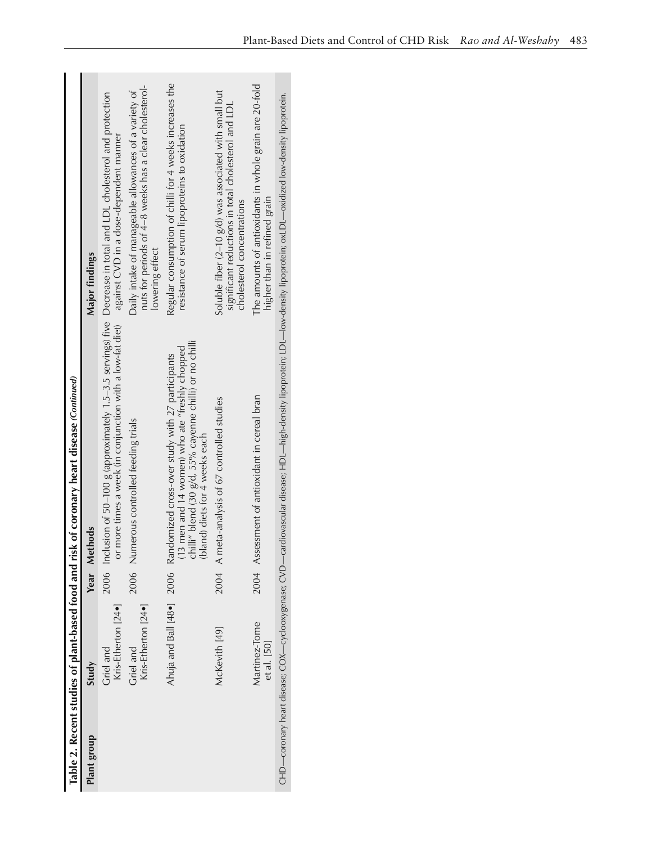| Plant group | Kris-Etherton [24•]<br>Kris-Etherton [24•]<br><b>Griel</b> and<br><b>Griel and</b><br>Study | 2006 Inclusion of 50–100 g (approximately 1.5–3.5 servings) five Decrease in total and LDL cholesterol and protection<br>more times a week (in conjunction with a low-fat diet)<br>chilli" blend (30 g/d, 55% cayenne chilli) or no chilli<br>(13 men and 14 women) who ate "freshly chopped<br>Ahuja and Ball [48.] 2006 Randomized cross-over study with 27 participants<br>Table 2. Recent studies of plant-based food and risk of coronary heart disease (Continued)<br>2006 Numerous controlled feeding trials<br>(bland) diets for 4 weeks each<br>Year Methods<br>$\overline{C}$ | Regular consumption of chilli for 4 weeks increases the<br>nuts for periods of 4–8 weeks has a clear cholesterol-<br>Daily intake of manageable allowances of a variety of<br>resistance of serum lipoproteins to oxidation<br>against CVD in a dose-dependent manner<br>lowering effect<br><b>Major findings</b> |
|-------------|---------------------------------------------------------------------------------------------|-----------------------------------------------------------------------------------------------------------------------------------------------------------------------------------------------------------------------------------------------------------------------------------------------------------------------------------------------------------------------------------------------------------------------------------------------------------------------------------------------------------------------------------------------------------------------------------------|-------------------------------------------------------------------------------------------------------------------------------------------------------------------------------------------------------------------------------------------------------------------------------------------------------------------|
|             | McKevith [49]                                                                               | 2004 A meta-analysis of 67 controlled studies                                                                                                                                                                                                                                                                                                                                                                                                                                                                                                                                           | Soluble fiber (2-10 g/d) was associated with small but<br>significant reductions in total cholesterol and LDL<br>cholesterol concentrations                                                                                                                                                                       |
|             | Martinez-Tome<br>et al. [50]                                                                | 2004 Assessment of antioxidant in cereal bran                                                                                                                                                                                                                                                                                                                                                                                                                                                                                                                                           | The amounts of antioxidants in whole grain are 20-fold<br>higher than in refined grain                                                                                                                                                                                                                            |
|             |                                                                                             | CHD—coronary heart disease; COX—cyclooxygenase; CVD—cardiovascular disease; HDL—high-density lipoprotein; LDL—low-density lipoprotein; oxLDL—oxidized low-density lipoprotein.                                                                                                                                                                                                                                                                                                                                                                                                          |                                                                                                                                                                                                                                                                                                                   |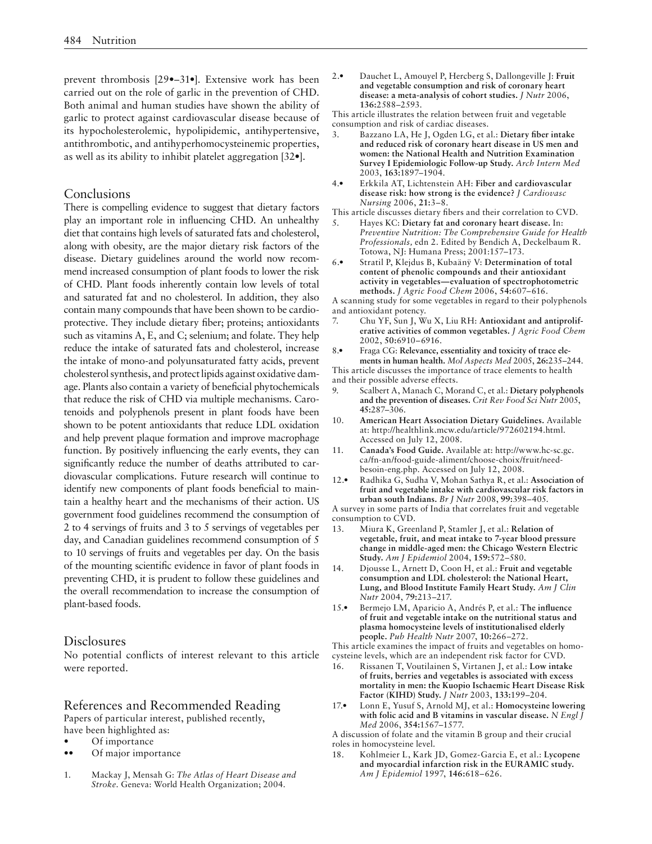prevent thrombosis [29•–31•]. Extensive work has been carried out on the role of garlic in the prevention of CHD. Both animal and human studies have shown the ability of garlic to protect against cardiovascular disease because of its hypocholesterolemic, hypolipidemic, antihypertensive, antithrombotic, and antihyperhomocysteinemic properties, as well as its ability to inhibit platelet aggregation [32•].

## Conclusions

There is compelling evidence to suggest that dietary factors play an important role in influencing CHD. An unhealthy diet that contains high levels of saturated fats and cholesterol, along with obesity, are the major dietary risk factors of the disease. Dietary guidelines around the world now recommend increased consumption of plant foods to lower the risk of CHD. Plant foods inherently contain low levels of total and saturated fat and no cholesterol. In addition, they also contain many compounds that have been shown to be cardioprotective. They include dietary fiber; proteins; antioxidants such as vitamins A, E, and C; selenium; and folate. They help reduce the intake of saturated fats and cholesterol, increase the intake of mono-and polyunsaturated fatty acids, prevent cholesterol synthesis, and protect lipids against oxidative damage. Plants also contain a variety of beneficial phytochemicals that reduce the risk of CHD via multiple mechanisms. Carotenoids and polyphenols present in plant foods have been shown to be potent antioxidants that reduce LDL oxidation and help prevent plaque formation and improve macrophage function. By positively influencing the early events, they can significantly reduce the number of deaths attributed to cardiovascular complications. Future research will continue to identify new components of plant foods beneficial to maintain a healthy heart and the mechanisms of their action. US government food guidelines recommend the consumption of 2 to 4 servings of fruits and 3 to 5 servings of vegetables per day, and Canadian guidelines recommend consumption of 5 to 10 servings of fruits and vegetables per day. On the basis of the mounting scientific evidence in favor of plant foods in preventing CHD, it is prudent to follow these guidelines and the overall recommendation to increase the consumption of plant-based foods.

## Disclosures

No potential conflicts of interest relevant to this article were reported.

### References and Recommended Reading

Papers of particular interest, published recently, have been highlighted as:

- Of importance
- Of major importance
- 1. Mackay J, Mensah G: *The Atlas of Heart Disease and Stroke.* Geneva: World Health Organization; 2004.

2.• Dauchet L, Amouyel P, Hercberg S, Dallongeville J: **Fruit and vegetable consumption and risk of coronary heart disease: a meta-analysis of cohort studies.** *J Nutr* 2006, **136:**2588–2593.

This article illustrates the relation between fruit and vegetable consumption and risk of cardiac diseases.

- 3. Bazzano LA, He J, Ogden LG, et al.: Dietary fiber intake **and reduced risk of coronary heart disease in US men and women: the National Health and Nutrition Examination Survey I Epidemiologic Follow-up Study.** *Arch Intern Med*  2003, **163:**1897–1904.
- 4.• Erkkila AT, Lichtenstein AH: **Fiber and cardiovascular disease risk: how strong is the evidence?** *J Cardiovasc Nursing* 2006, **21:**3–8.
- This article discusses dietary fibers and their correlation to CVD.
- 5. Hayes KC: **Dietary fat and coronary heart disease.** In: *Preventive Nutrition: The Comprehensive Guide for Health Professionals,* edn 2. Edited by Bendich A, Deckelbaum R. Totowa, NJ: Humana Press; 2001:157–173.
- 6.• Stratil P, Klejdus B, Kubaänÿ V: **Determination of total content of phenolic compounds and their antioxidant activity in vegetables—evaluation of spectrophotometric methods.** *J Agric Food Chem* 2006, **54:**607–616.

A scanning study for some vegetables in regard to their polyphenols and antioxidant potency.

- 7. Chu YF, Sun J, Wu X, Liu RH: **Antioxidant and antiproliferative activities of common vegetables.** *J Agric Food Chem*  2002, **50:**6910–6916.
- 8.• Fraga CG: **Relevance, essentiality and toxicity of trace elements in human health.** *Mol Aspects Med* 2005, **26:**235–244.

This article discusses the importance of trace elements to health and their possible adverse effects.

- 9. Scalbert A, Manach C, Morand C, et al.: **Dietary polyphenols and the prevention of diseases.** *Crit Rev Food Sci Nutr* 2005, **45:**287–306.
- 10. **American Heart Association Dietary Guidelines.** Available at: http://healthlink.mcw.edu/article/972602194.html. Accessed on July 12, 2008.
- 11. **Canada's Food Guide.** Available at: http://www.hc-sc.gc. ca/fn-an/food-guide-aliment/choose-choix/fruit/needbesoin-eng.php. Accessed on July 12, 2008.
- 12.• Radhika G, Sudha V, Mohan Sathya R, et al.: **Association of fruit and vegetable intake with cardiovascular risk factors in urban south Indians.** *Br J Nutr* 2008, **99:**398–405.

A survey in some parts of India that correlates fruit and vegetable consumption to CVD.

- 13. Miura K, Greenland P, Stamler J, et al.: **Relation of vegetable, fruit, and meat intake to 7-year blood pressure change in middle-aged men: the Chicago Western Electric Study.** *Am J Epidemiol* 2004, **159:**572–580.
- 14. Djousse L, Arnett D, Coon H, et al.: **Fruit and vegetable consumption and LDL cholesterol: the National Heart, Lung, and Blood Institute Family Heart Study.** *Am J Clin Nutr* 2004, **79:**213–217.
- 15.• Bermejo LM, Aparicio A, Andrés P, et al.: The influence **of fruit and vegetable intake on the nutritional status and plasma homocysteine levels of institutionalised elderly people.** *Pub Health Nutr* 2007, **10:**266–272.

This article examines the impact of fruits and vegetables on homocysteine levels, which are an independent risk factor for CVD.

- 16. Rissanen T, Voutilainen S, Virtanen J, et al.: **Low intake of fruits, berries and vegetables is associated with excess mortality in men: the Kuopio Ischaemic Heart Disease Risk Factor (KIHD) Study.** *J Nutr* 2003, **133:**199–204.
- 17.• Lonn E, Yusuf S, Arnold MJ, et al.: **Homocysteine lowering with folic acid and B vitamins in vascular disease.** *N Engl J Med* 2006, **354:**1567–1577.

A discussion of folate and the vitamin B group and their crucial roles in homocysteine level.

18. Kohlmeier L, Kark JD, Gomez-Garcia E, et al.: **Lycopene and myocardial infarction risk in the EURAMIC study.**  *Am J Epidemiol* 1997, **146:**618–626.